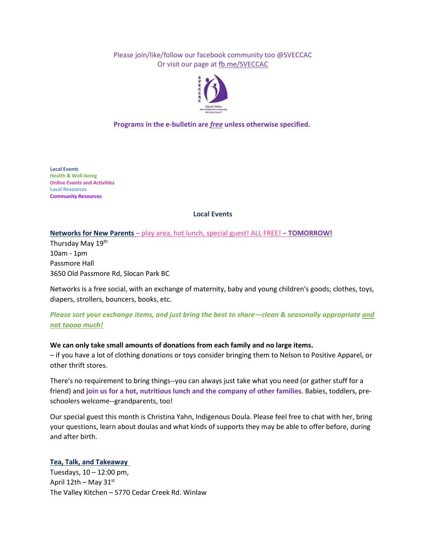Please join/like/follow our facebook community too @SVECCAC Or visit our page at [fb.me/SVECCAC](https://fb.me/SVECCAC)



**Programs in the e-bulletin are** *free* **unless otherwise specified.**

**Local Events Health & Well-being Online Events and Activities Local Resources Community Resources**

# **Local Events**

# **Networks for New Parents** – play area, hot lunch, special guest! ALL FREE! **– TOMORROW!**

Thursday May 19<sup>th</sup> 10am - 1pm Passmore Hall 3650 Old Passmore Rd, Slocan Park BC

Networks is a free social, with an exchange of maternity, baby and young children's goods; clothes, toys, diapers, strollers, bouncers, books, etc.

# *Please sort your exchange items, and just bring the best to share—clean & seasonally appropriate and not toooo much!*

# **We can only take small amounts of donations from each family and no large items.**

– if you have a lot of clothing donations or toys consider bringing them to Nelson to Positive Apparel, or other thrift stores.

There's no requirement to bring things--you can always just take what you need (or gather stuff for a friend) and **join us for a hot, nutritious lunch and the company of other families**. Babies, toddlers, preschoolers welcome--grandparents, too!

Our special guest this month is Christina Yahn, Indigenous Doula. Please feel free to chat with her, bring your questions, learn about doulas and what kinds of supports they may be able to offer before, during and after birth.

# **Tea, Talk, and Takeaway**

Tuesdays, 10 – 12:00 pm, April  $12th$  – May  $31^{st}$ The Valley Kitchen – 5770 Cedar Creek Rd. Winlaw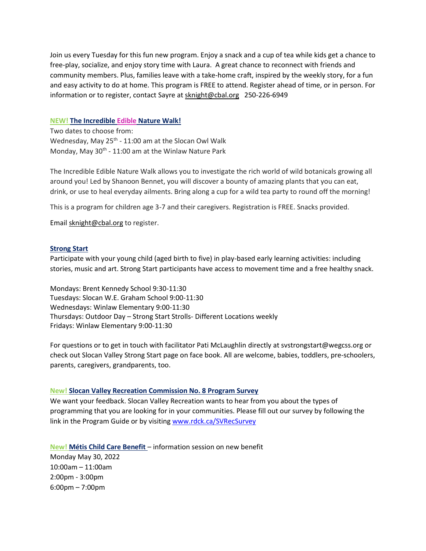Join us every Tuesday for this fun new program. Enjoy a snack and a cup of tea while kids get a chance to free-play, socialize, and enjoy story time with Laura. A great chance to reconnect with friends and community members. Plus, families leave with a take-home craft, inspired by the weekly story, for a fun and easy activity to do at home. This program is FREE to attend. Register ahead of time, or in person. For information or to register, contact Sayre at [sknight@cbal.org](mailto:sknight@cbal.org) 250-226-6949

## **NEW! The Incredible Edible Nature Walk!**

Two dates to choose from: Wednesday, May 25<sup>th</sup> - 11:00 am at the Slocan Owl Walk Monday, May 30<sup>th</sup> - 11:00 am at the Winlaw Nature Park

The Incredible Edible Nature Walk allows you to investigate the rich world of wild botanicals growing all around you! Led by Shanoon Bennet, you will discover a bounty of amazing plants that you can eat, drink, or use to heal everyday ailments. Bring along a cup for a wild tea party to round off the morning!

This is a program for children age 3-7 and their caregivers. Registration is FREE. Snacks provided.

Email [sknight@cbal.org](mailto:sknight@cbal.org) to register.

## **Strong Start**

Participate with your young child (aged birth to five) in play-based early learning activities: including stories, music and art. Strong Start participants have access to movement time and a free healthy snack.

Mondays: Brent Kennedy School 9:30-11:30 Tuesdays: Slocan W.E. Graham School 9:00-11:30 Wednesdays: Winlaw Elementary 9:00-11:30 Thursdays: Outdoor Day – Strong Start Strolls- Different Locations weekly Fridays: Winlaw Elementary 9:00-11:30

For questions or to get in touch with facilitator Pati McLaughlin directly at [svstrongstart@wegcss.org](mailto:svstrongstart@wegcss.org) or check out Slocan Valley Strong Start page on face book. All are welcome, babies, toddlers, pre-schoolers, parents, caregivers, grandparents, too.

## **New! Slocan Valley Recreation Commission No. 8 Program Survey**

We want your feedback. Slocan Valley Recreation wants to hear from you about the types of programming that you are looking for in your communities. Please fill out our survey by following the link in the Program Guide or by visiting [www.rdck.ca/SVRecSurvey](http://www.rdck.ca/SVRecSurvey)

**New! Métis Child Care Benefit** – information session on new benefit Monday May 30, 2022 10:00am – 11:00am 2:00pm - 3:00pm 6:00pm – 7:00pm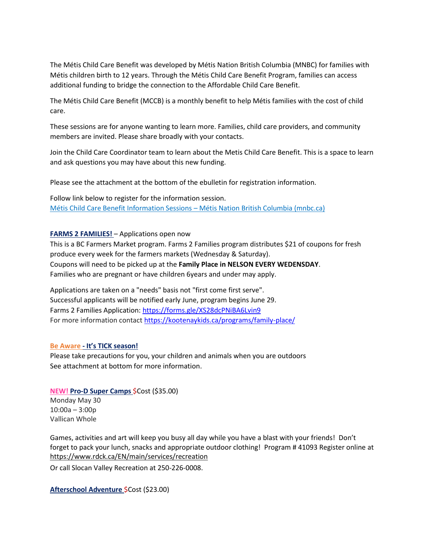The Métis Child Care Benefit was developed by Métis Nation British Columbia (MNBC) for families with Métis children birth to 12 years. Through the Métis Child Care Benefit Program, families can access additional funding to bridge the connection to the Affordable Child Care Benefit.

The Métis Child Care Benefit (MCCB) is a monthly benefit to help Métis families with the cost of child care.

These sessions are for anyone wanting to learn more. Families, child care providers, and community members are invited. Please share broadly with your contacts.

Join the Child Care Coordinator team to learn about the Metis Child Care Benefit. This is a space to learn and ask questions you may have about this new funding.

Please see the attachment at the bottom of the ebulletin for registration information.

Follow link below to register for the information session. [Métis Child Care Benefit Information Sessions](https://www.mnbc.ca/news/2022/metis-child-care-benefit-information-sessions/) – Métis Nation British Columbia (mnbc.ca)

# **FARMS 2 FAMILIES!** - Applications open now

This is a BC Farmers Market program. Farms 2 Families program distributes \$21 of coupons for fresh produce every week for the farmers markets (Wednesday & Saturday). Coupons will need to be picked up at the **Family Place in NELSON EVERY WEDENSDAY**. Families who are pregnant or have children 6years and under may apply.

Applications are taken on a "needs" basis not "first come first serve". Successful applicants will be notified early June, program begins June 29. Farms 2 Families Application:<https://forms.gle/XS28dcPNiBA6Lvin9> For more information contact<https://kootenaykids.ca/programs/family-place/>

## **Be Aware - It's TICK season!**

Please take precautions for you, your children and animals when you are outdoors See attachment at bottom for more information.

# **NEW! Pro-D Super Camps** \$Cost (\$35.00)

Monday May 30 10:00a – 3:00p Vallican Whole

Games, activities and art will keep you busy all day while you have a blast with your friends! Don't forget to pack your lunch, snacks and appropriate outdoor clothing! Program # 41093 Register online at <https://www.rdck.ca/EN/main/services/recreation>

Or call Slocan Valley Recreation at 250-226-0008.

**Afterschool Adventure** \$Cost (\$23.00)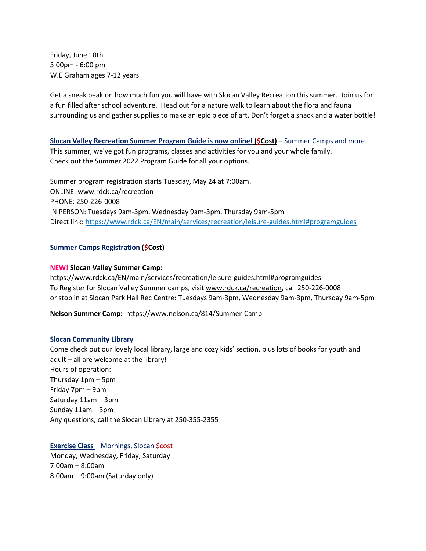Friday, June 10th 3:00pm - 6:00 pm W.E Graham ages 7-12 years

Get a sneak peak on how much fun you will have with Slocan Valley Recreation this summer. Join us for a fun filled after school adventure. Head out for a nature walk to learn about the flora and fauna surrounding us and gather supplies to make an epic piece of art. Don't forget a snack and a water bottle!

**Slocan Valley Recreation Summer Program Guide is now online! (\$Cost) –** Summer Camps and more This summer, we've got fun programs, classes and activities for you and your whole family. Check out the Summer 2022 Program Guide for all your options.

Summer program registration starts Tuesday, May 24 at 7:00am. ONLINE: [www.rdck.ca/recreation](http://www.rdck.ca/recreation) PHONE: 250-226-0008 IN PERSON: Tuesdays 9am-3pm, Wednesday 9am-3pm, Thursday 9am-5pm Direct link: <https://www.rdck.ca/EN/main/services/recreation/leisure-guides.html#programguides>

## **Summer Camps Registration (\$Cost)**

## **NEW! Slocan Valley Summer Camp:**

<https://www.rdck.ca/EN/main/services/recreation/leisure-guides.html#programguides> To Register for Slocan Valley Summer camps, visit [www.rdck.ca/recreation,](http://www.rdck.ca/recreation) call 250-226-0008 or stop in at Slocan Park Hall Rec Centre: Tuesdays 9am-3pm, Wednesday 9am-3pm, Thursday 9am-5pm

**Nelson Summer Camp:** <https://www.nelson.ca/814/Summer-Camp>

## **Slocan Community Library**

Come check out our lovely local library, large and cozy kids' section, plus lots of books for youth and adult – all are welcome at the library! Hours of operation: Thursday 1pm – 5pm Friday 7pm – 9pm Saturday 11am – 3pm Sunday 11am – 3pm Any questions, call the Slocan Library at 250-355-2355

# **Exercise Class** – Mornings, Slocan \$cost

Monday, Wednesday, Friday, Saturday 7:00am – 8:00am 8:00am – 9:00am (Saturday only)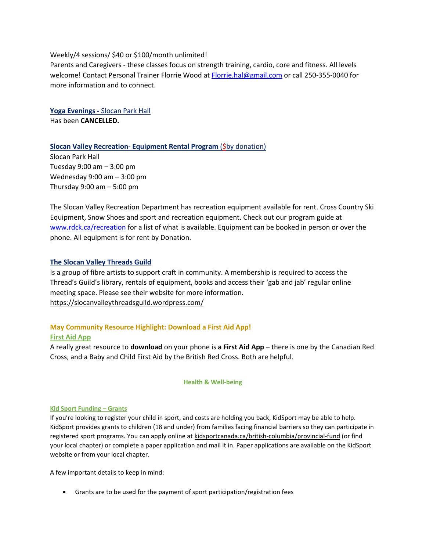Weekly/4 sessions/ \$40 or \$100/month unlimited!

Parents and Caregivers - these classes focus on strength training, cardio, core and fitness. All levels welcome! Contact Personal Trainer Florrie Wood at [Florrie.hal@gmail.com](mailto:Florrie.hal@gmail.com) or call 250-355-0040 for more information and to connect.

**Yoga Evenings -** Slocan Park Hall Has been **CANCELLED.**

# **Slocan Valley Recreation- Equipment Rental Program** (\$by donation)

Slocan Park Hall Tuesday 9:00 am – 3:00 pm Wednesday 9:00 am – 3:00 pm Thursday 9:00 am – 5:00 pm

The Slocan Valley Recreation Department has recreation equipment available for rent. Cross Country Ski Equipment, Snow Shoes and sport and recreation equipment. Check out our program guide at [www.rdck.ca/recreation](http://www.rdck.ca/recreation) for a list of what is available. Equipment can be booked in person or over the phone. All equipment is for rent by Donation.

# **The Slocan Valley Threads Guild**

Is a group of fibre artists to support craft in community. A membership is required to access the Thread's Guild's library, rentals of equipment, books and access their 'gab and jab' regular online meeting space. Please see their website for more information. <https://slocanvalleythreadsguild.wordpress.com/>

# **May Community Resource Highlight: Download a First Aid App! First Aid App**

A really great resource to **download** on your phone is **a First Aid App** – there is one by the Canadian Red Cross, and a Baby and Child First Aid by the British Red Cross. Both are helpful.

## **Health & Well-being**

## **Kid Sport Funding – Grants**

If you're looking to register your child in sport, and costs are holding you back, KidSport may be able to help. KidSport provides grants to children (18 and under) from families facing financial barriers so they can participate in registered sport programs. You can apply online at [kidsportcanada.ca/british-columbia/provincial-fund](https://can01.safelinks.protection.outlook.com/?url=https%3A%2F%2Fkidsportcanada.ca%2Fbritish-columbia%2Fprovincial-fund%2F&data=04%7C01%7CBecki.ORae%40gov.bc.ca%7Cacfd6c1cd5054e851e5e08d977d0929d%7C6fdb52003d0d4a8ab036d3685e359adc%7C0%7C0%7C637672560722719309%7CUnknown%7CTWFpbGZsb3d8eyJWIjoiMC4wLjAwMDAiLCJQIjoiV2luMzIiLCJBTiI6Ik1haWwiLCJXVCI6Mn0%3D%7C2000&sdata=DQ7P4JLP0xnVHv7dwqNj6ptuNdXriQzYCf0sDUgcLxk%3D&reserved=0) (or find your local chapter) or complete a paper application and mail it in. Paper applications are available on the KidSport website or from your local chapter.

A few important details to keep in mind:

• Grants are to be used for the payment of sport participation/registration fees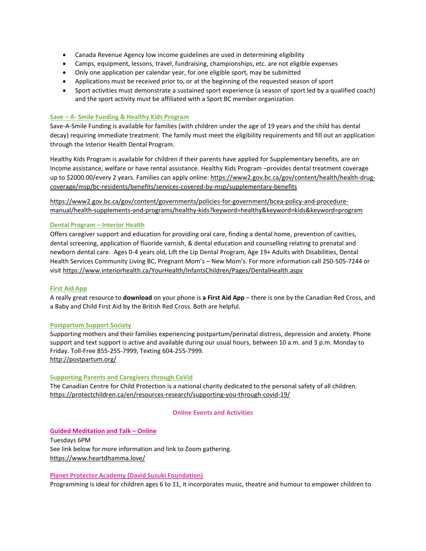- Canada Revenue Agency low income guidelines are used in determining eligibility
- Camps, equipment, lessons, travel, fundraising, championships, etc. are not eligible expenses
- Only one application per calendar year, for one eligible sport, may be submitted
- Applications must be received prior to, or at the beginning of the requested season of sport
- Sport activities must demonstrate a sustained sport experience (a season of sport led by a qualified coach) and the sport activity must be affiliated with a Sport BC member organization

### **Save – A- Smile Funding & Healthy Kids Program**

Save-A-Smile Funding is available for families (with children under the age of 19 years and the child has dental decay) requiring immediate treatment. The family must meet the eligibility requirements and fill out an application through the Interior Health Dental Program.

Healthy Kids Program is available for children if their parents have applied for Supplementary benefits, are on Income assistance, welfare or have rental assistance. Healthy Kids Program –provides dental treatment coverage up to \$2000.00/every 2 years. Families can apply online[: https://www2.gov.bc.ca/gov/content/health/health-drug](https://www2.gov.bc.ca/gov/content/health/health-drug-coverage/msp/bc-residents/benefits/services-covered-by-msp/supplementary-benefits)[coverage/msp/bc-residents/benefits/services-covered-by-msp/supplementary-benefits](https://www2.gov.bc.ca/gov/content/health/health-drug-coverage/msp/bc-residents/benefits/services-covered-by-msp/supplementary-benefits)

[https://www2.gov.bc.ca/gov/content/governments/policies-for-government/bcea-policy-and-procedure](https://www2.gov.bc.ca/gov/content/governments/policies-for-government/bcea-policy-and-procedure-manual/health-supplements-and-programs/healthy-kids?keyword=healthy&keyword=kids&keyword=program)[manual/health-supplements-and-programs/healthy-kids?keyword=healthy&keyword=kids&keyword=program](https://www2.gov.bc.ca/gov/content/governments/policies-for-government/bcea-policy-and-procedure-manual/health-supplements-and-programs/healthy-kids?keyword=healthy&keyword=kids&keyword=program)

### **Dental Program – Interior Health**

Offers caregiver support and education for providing oral care, finding a dental home, prevention of cavities, dental screening, application of fluoride varnish, & dental education and counselling relating to prenatal and newborn dental care. Ages 0-4 years old, Lift the Lip Dental Program, Age 19+ Adults with Disabilities, Dental Health Services Community Living BC, Pregnant Mom's – New Mom's. For more information call 250-505-7244 or visi[t https://www.interiorhealth.ca/YourHealth/InfantsChildren/Pages/DentalHealth.aspx](https://www.interiorhealth.ca/YourHealth/InfantsChildren/Pages/DentalHealth.aspx)

### **First Aid App**

A really great resource to **download** on your phone is **a First Aid App** – there is one by the Canadian Red Cross, and a Baby and Child First Aid by the British Red Cross. Both are helpful.

### **Postpartum Support Society**

Supporting mothers and their families experiencing postpartum/perinatal distress, depression and anxiety. Phone support and text support is active and available during our usual hours, between 10 a.m. and 3 p.m. Monday to Friday. Toll-Free 855-255-7999, Texting 604-255-7999. <http://postpartum.org/>

### **Supporting Parents and Caregivers through CoVid**

The Canadian Centre for Child Protection is a national charity dedicated to the personal safety of all children. <https://protectchildren.ca/en/resources-research/supporting-you-through-covid-19/>

### **Online Events and Activities**

### **Guided Meditation and Talk – Online**

Tuesdays 6PM See link below for more information and link to Zoom gathering. <https://www.heartdhamma.love/>

### **Planet Protector Academy (David Suzuki Foundation)**

Programming is ideal for children ages 6 to 11, it incorporates music, theatre and humour to empower children to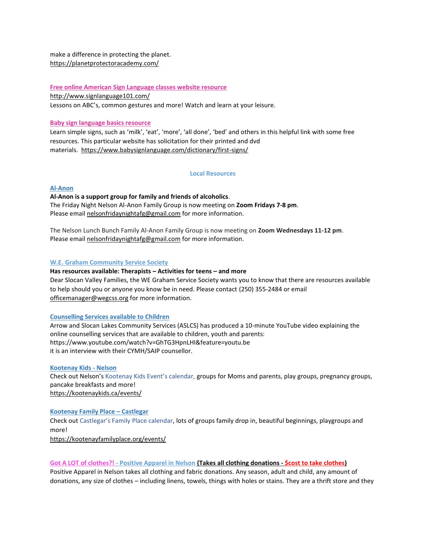make a difference in protecting the planet. <https://planetprotectoracademy.com/>

#### **Free online American Sign Language classes website resource**

<http://www.signlanguage101.com/>

Lessons on ABC's, common gestures and more! Watch and learn at your leisure.

### **Baby sign language basics resource**

Learn simple signs, such as 'milk', 'eat', 'more', 'all done', 'bed' and others in this helpful link with some free resources. This particular website has solicitation for their printed and dvd materials. <https://www.babysignlanguage.com/dictionary/first-signs/>

#### **Local Resources**

#### **Al-Anon**

**Al-Anon is a support group for family and friends of alcoholics**. The Friday Night Nelson Al-Anon Family Group is now meeting on **Zoom Fridays 7-8 pm**. Please email [nelsonfridaynightafg@gmail.com](mailto:nelsonfridaynightafg@gmail.com) for more information.

The Nelson Lunch Bunch Family Al-Anon Family Group is now meeting on **Zoom Wednesdays 11-12 pm**. Please email [nelsonfridaynightafg@gmail.com](mailto:nelsonfridaynightafg@gmail.com) for more information.

### **W.E. Graham Community Service Society**

**Has resources available: Therapists – Activities for teens – and more** Dear Slocan Valley Families, the WE Graham Service Society wants you to know that there are resources available to help should you or anyone you know be in need. Please contact (250) 355-2484 or email [officemanager@wegcss.org](mailto:officemanager@wegcss.org) for more information.

### **Counselling Services available to Children**

Arrow and Slocan Lakes Community Services (ASLCS) has produced a 10-minute YouTube video explaining the online counselling services that are available to children, youth and parents: https://www.youtube.com/watch?v=GhTG3HpnLHI&feature=youtu.be it is an interview with their CYMH/SAIP counsellor.

### **Kootenay Kids - Nelson**

Check out Nelson's Kootenay Kids Event's calendar, groups for Moms and parents, play groups, pregnancy groups, pancake breakfasts and more! <https://kootenaykids.ca/events/>

### **Kootenay Family Place – Castlegar**

Check out Castlegar's Family Place calendar, lots of groups family drop in, beautiful beginnings, playgroups and more!

<https://kootenayfamilyplace.org/events/>

#### **Got A LOT of clothes?! - Positive Apparel in Nelson (Takes all clothing donations - \$cost to take clothes)**

Positive Apparel in Nelson takes all clothing and fabric donations. Any season, adult and child, any amount of donations, any size of clothes – including linens, towels, things with holes or stains. They are a thrift store and they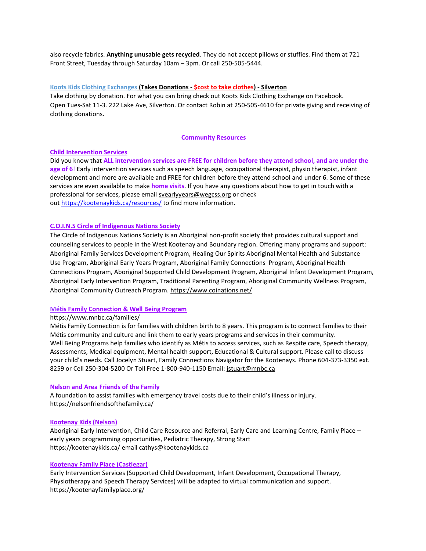also recycle fabrics. **Anything unusable gets recycled**. They do not accept pillows or stuffies. Find them at 721 Front Street, Tuesday through Saturday 10am – 3pm. Or call 250-505-5444.

### **Koots Kids Clothing Exchanges (Takes Donations - \$cost to take clothes) - Silverton**

Take clothing by donation. For what you can bring check out Koots Kids Clothing Exchange on Facebook. Open Tues-Sat 11-3. 222 Lake Ave, Silverton. Or contact Robin at 250-505-4610 for private giving and receiving of clothing donations.

#### **Community Resources**

#### **Child Intervention Services**

Did you know that **ALL intervention services are FREE for children before they attend school, and are under the age of 6**! Early intervention services such as speech language, occupational therapist, physio therapist, infant development and more are available and FREE for children before they attend school and under 6. Some of these services are even available to make **home visits**. If you have any questions about how to get in touch with a professional for services, please email [svearlyyears@wegcss.org](mailto:svearlyyears@wegcss.org) or check out <https://kootenaykids.ca/resources/> to find more information.

### **C.O.I.N.S Circle of Indigenous Nations Society**

The Circle of Indigenous Nations Society is an Aboriginal non-profit society that provides cultural support and counseling services to people in the West Kootenay and Boundary region. Offering many programs and support: Aboriginal Family Services Development Program, Healing Our Spirits Aboriginal Mental Health and Substance Use Program, Aboriginal Early Years Program, Aboriginal Family Connections Program, Aboriginal Health Connections Program, Aboriginal Supported Child Development Program, Aboriginal Infant Development Program, Aboriginal Early Intervention Program, Traditional Parenting Program, Aboriginal Community Wellness Program, Aboriginal Community Outreach Program.<https://www.coinations.net/>

### **Métis Family Connection & Well Being Program**

#### <https://www.mnbc.ca/families/>

Métis Family Connection is for families with children birth to 8 years. This program is to connect families to their Métis community and culture and link them to early years programs and services in their community. Well Being Programs help families who identify as Métis to access services, such as Respite care, Speech therapy, Assessments, Medical equipment, Mental health support, Educational & Cultural support. Please call to discuss your child's needs. Call Jocelyn Stuart, Family Connections Navigator for the Kootenays. Phone 604-373-3350 ext. 8259 or Cell 250-304-5200 Or Toll Free 1-800-940-1150 Email: [jstuart@mnbc.ca](mailto:jstuart@mnbc.ca)

#### **Nelson and Area Friends of the Family**

A foundation to assist families with emergency travel costs due to their child's illness or injury. https://nelsonfriendsofthefamily.ca/

### **Kootenay Kids (Nelson)**

Aboriginal Early Intervention, Child Care Resource and Referral, Early Care and Learning Centre, Family Place – early years programming opportunities, Pediatric Therapy, Strong Start https://kootenaykids.ca/ email [cathys@kootenaykids.ca](mailto:cathys@kootenaykids.ca)

#### **Kootenay Family Place (Castlegar)**

Early Intervention Services (Supported Child Development, Infant Development, Occupational Therapy, Physiotherapy and Speech Therapy Services) will be adapted to virtual communication and support. <https://kootenayfamilyplace.org/>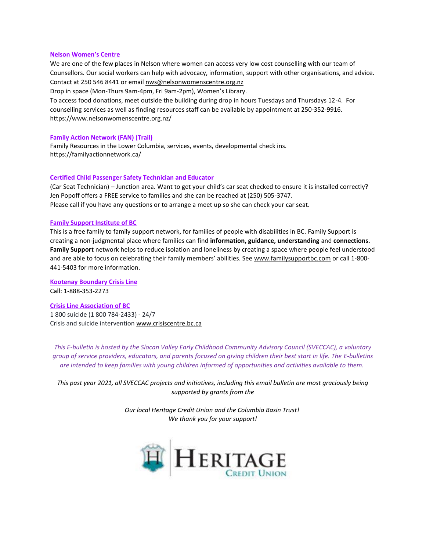#### **Nelson Women's Centre**

We are one of the few places in Nelson where women can access very low cost counselling with our team of Counsellors. Our social workers can help with advocacy, information, support with other organisations, and advice. Contact at 250 546 8441 or email [nws@nelsonwomenscentre.org.nz](mailto:nws@nelsonwomenscentre.org.nz)

Drop in space (Mon-Thurs 9am-4pm, Fri 9am-2pm), Women's Library.

To access food donations, meet outside the building during drop in hours Tuesdays and Thursdays 12-4. For counselling services as well as finding resources staff can be available by appointment at 250-352-9916. <https://www.nelsonwomenscentre.org.nz/>

#### **Family Action Network (FAN) (Trail)**

Family Resources in the Lower Columbia, services, events, developmental check ins. <https://familyactionnetwork.ca/>

### **Certified Child Passenger Safety Technician and Educator**

(Car Seat Technician) – Junction area. Want to get your child's car seat checked to ensure it is installed correctly? Jen Popoff offers a FREE service to families and she can be reached at (250) 505-3747. Please call if you have any questions or to arrange a meet up so she can check your car seat.

#### **Family Support Institute of BC**

This is a free family to family support network, for families of people with disabilities in BC. Family Support is creating a non-judgmental place where families can find **information, guidance, understanding** and **connections. Family Support** network helps to reduce isolation and loneliness by creating a space where people feel understood and are able to focus on celebrating their family members' abilities. See [www.familysupportbc.com](http://www.familysupportbc.com/) or call 1-800- 441-5403 for more information.

**Kootenay Boundary Crisis Line** Call: 1-888-353-2273

**Crisis Line Association of BC** 1 800 suicide (1 800 784-2433) - 24/7 Crisis and suicide intervention [www.crisiscentre.bc.ca](http://www.crisiscentre.bc.ca/?fbclid=IwAR3Q5nQAPMIBicvEUhMluMUTlz5JkzxpwEPSds-gyN3O6gPtI1_mzTZLOxw)

*This E-bulletin is hosted by the Slocan Valley Early Childhood Community Advisory Council (SVECCAC), a voluntary group of service providers, educators, and parents focused on giving children their best start in life. The E-bulletins are intended to keep families with young children informed of opportunities and activities available to them.*

*This past year 2021, all SVECCAC projects and initiatives, including this email bulletin are most graciously being supported by grants from the* 

> *Our local Heritage Credit Union and the Columbia Basin Trust! We thank you for your support!*